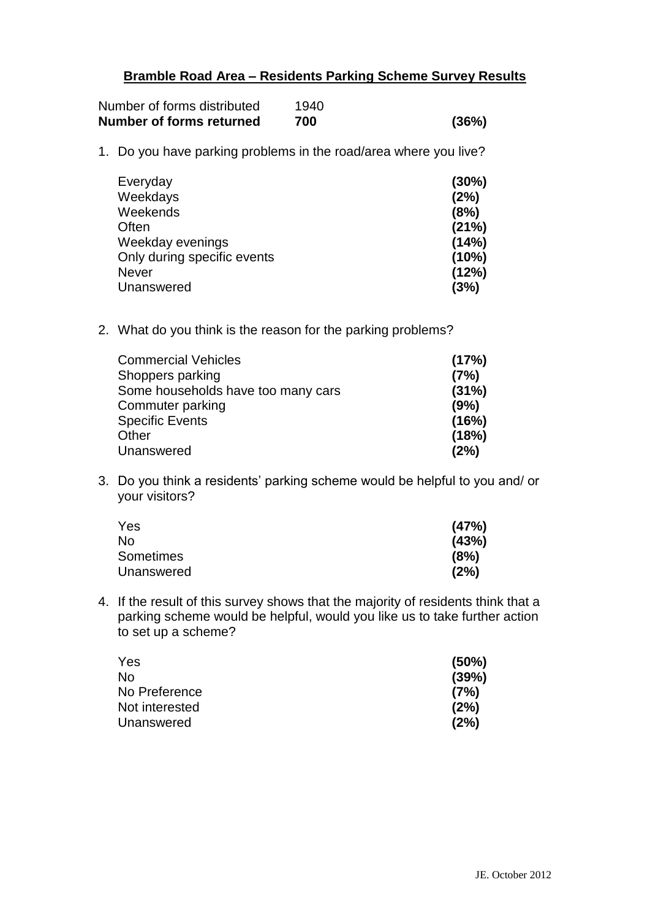## **Bramble Road Area – Residents Parking Scheme Survey Results**

| Number of forms distributed | 1940 |       |
|-----------------------------|------|-------|
| Number of forms returned    | 700  | (36%) |

1. Do you have parking problems in the road/area where you live?

| Everyday                    | (30%) |
|-----------------------------|-------|
| Weekdays                    | (2%)  |
| Weekends                    | (8%)  |
| Often                       | (21%) |
| Weekday evenings            | (14%) |
| Only during specific events | (10%) |
| Never                       | (12%) |
| Unanswered                  | (3%)  |

2. What do you think is the reason for the parking problems?

| <b>Commercial Vehicles</b>         | (17%) |
|------------------------------------|-------|
| Shoppers parking                   | (7%)  |
| Some households have too many cars | (31%) |
| Commuter parking                   | (9%)  |
| <b>Specific Events</b>             | (16%) |
| Other                              | (18%) |
| Unanswered                         | (2%)  |
|                                    |       |

3. Do you think a residents' parking scheme would be helpful to you and/ or your visitors?

| Yes              | (47%) |
|------------------|-------|
| No               | (43%) |
| <b>Sometimes</b> | (8%)  |
| Unanswered       | (2%)  |

4. If the result of this survey shows that the majority of residents think that a parking scheme would be helpful, would you like us to take further action to set up a scheme?

| Yes            | (50%) |
|----------------|-------|
| No             | (39%) |
| No Preference  | (7%)  |
| Not interested | (2%)  |
| Unanswered     | (2%)  |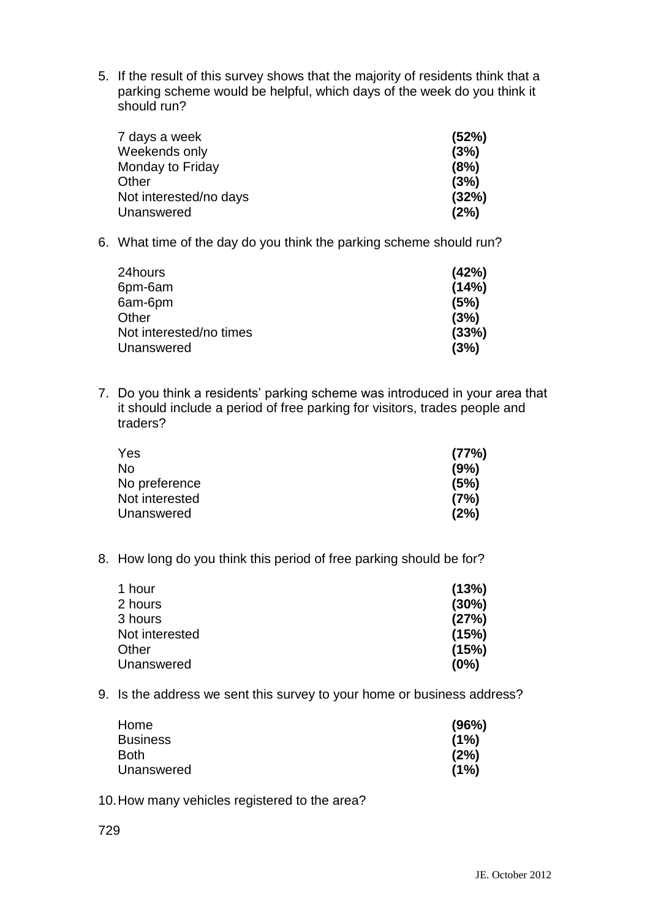5. If the result of this survey shows that the majority of residents think that a parking scheme would be helpful, which days of the week do you think it should run?

| 7 days a week          | (52%) |
|------------------------|-------|
| Weekends only          | (3%)  |
| Monday to Friday       | (8%)  |
| Other                  | (3%)  |
| Not interested/no days | (32%) |
| Unanswered             | (2%)  |

6. What time of the day do you think the parking scheme should run?

| (42%) |
|-------|
| (14%) |
| (5%)  |
| (3%)  |
| (33%) |
| (3%)  |
|       |

7. Do you think a residents' parking scheme was introduced in your area that it should include a period of free parking for visitors, trades people and traders?

| Yes            | (77%) |
|----------------|-------|
| No             | (9%)  |
| No preference  | (5%)  |
| Not interested | (7%)  |
| Unanswered     | (2%)  |

8. How long do you think this period of free parking should be for?

| (13%) |
|-------|
| (30%) |
| (27%) |
| (15%) |
| (15%) |
| (0%)  |
|       |

9. Is the address we sent this survey to your home or business address?

| Home            | (96%) |
|-----------------|-------|
| <b>Business</b> | (1%)  |
| Both            | (2%)  |
| Unanswered      | (1%)  |

10.How many vehicles registered to the area?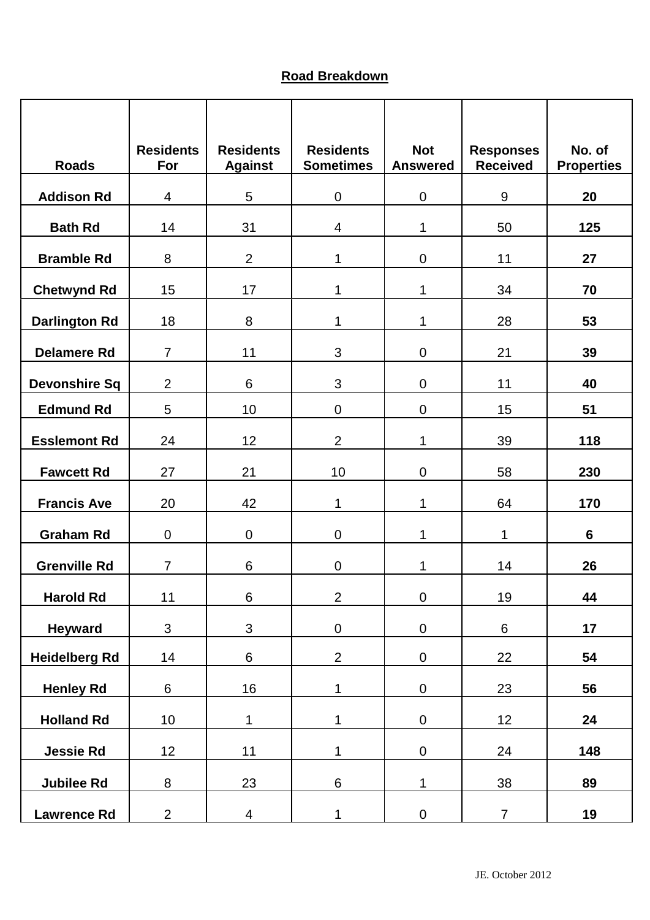## **Road Breakdown**

| <b>Roads</b>         | <b>Residents</b><br>For | <b>Residents</b><br><b>Against</b> | <b>Residents</b><br><b>Sometimes</b> | <b>Not</b><br><b>Answered</b> | <b>Responses</b><br><b>Received</b> | No. of<br><b>Properties</b> |
|----------------------|-------------------------|------------------------------------|--------------------------------------|-------------------------------|-------------------------------------|-----------------------------|
| <b>Addison Rd</b>    | 4                       | 5                                  | $\pmb{0}$                            | $\mathbf 0$                   | $9\,$                               | 20                          |
| <b>Bath Rd</b>       | 14                      | 31                                 | 4                                    | 1                             | 50                                  | 125                         |
| <b>Bramble Rd</b>    | 8                       | $\overline{2}$                     | 1                                    | $\overline{0}$                | 11                                  | 27                          |
| <b>Chetwynd Rd</b>   | 15                      | 17                                 | 1                                    | 1                             | 34                                  | 70                          |
| <b>Darlington Rd</b> | 18                      | 8                                  | 1                                    | 1                             | 28                                  | 53                          |
| <b>Delamere Rd</b>   | $\overline{7}$          | 11                                 | 3                                    | $\mathbf 0$                   | 21                                  | 39                          |
| <b>Devonshire Sq</b> | $\overline{2}$          | 6                                  | 3                                    | $\mathbf 0$                   | 11                                  | 40                          |
| <b>Edmund Rd</b>     | 5                       | 10                                 | $\pmb{0}$                            | $\overline{0}$                | 15                                  | 51                          |
| <b>Esslemont Rd</b>  | 24                      | 12                                 | $\overline{2}$                       | 1                             | 39                                  | 118                         |
| <b>Fawcett Rd</b>    | 27                      | 21                                 | 10                                   | $\boldsymbol{0}$              | 58                                  | 230                         |
| <b>Francis Ave</b>   | 20                      | 42                                 | 1                                    | 1                             | 64                                  | 170                         |
| <b>Graham Rd</b>     | $\mathbf 0$             | $\overline{0}$                     | $\overline{0}$                       | $\mathbf{1}$                  | 1                                   | 6                           |
| <b>Grenville Rd</b>  | $\overline{7}$          | 6                                  | $\mathbf 0$                          | 1                             | 14                                  | 26                          |
| <b>Harold Rd</b>     | 11                      | $\,6\,$                            | $\overline{2}$                       | $\pmb{0}$                     | 19                                  | 44                          |
| <b>Heyward</b>       | $\mathfrak{S}$          | 3                                  | $\pmb{0}$                            | $\pmb{0}$                     | $\,6\,$                             | 17                          |
| <b>Heidelberg Rd</b> | 14                      | $6\phantom{a}$                     | $\overline{2}$                       | $\pmb{0}$                     | 22                                  | 54                          |
| <b>Henley Rd</b>     | $\,6\,$                 | 16                                 | $\mathbf{1}$                         | $\pmb{0}$                     | 23                                  | 56                          |
| <b>Holland Rd</b>    | 10                      | 1                                  | $\mathbf 1$                          | $\pmb{0}$                     | 12                                  | 24                          |
| <b>Jessie Rd</b>     | 12                      | 11                                 | $\mathbf{1}$                         | $\pmb{0}$                     | 24                                  | 148                         |
| <b>Jubilee Rd</b>    | 8                       | 23                                 | $\,6\,$                              | $\mathbf{1}$                  | 38                                  | 89                          |
| <b>Lawrence Rd</b>   | $\overline{2}$          | $\overline{\mathbf{4}}$            | $\mathbf{1}$                         | $\boldsymbol{0}$              | $\overline{7}$                      | 19                          |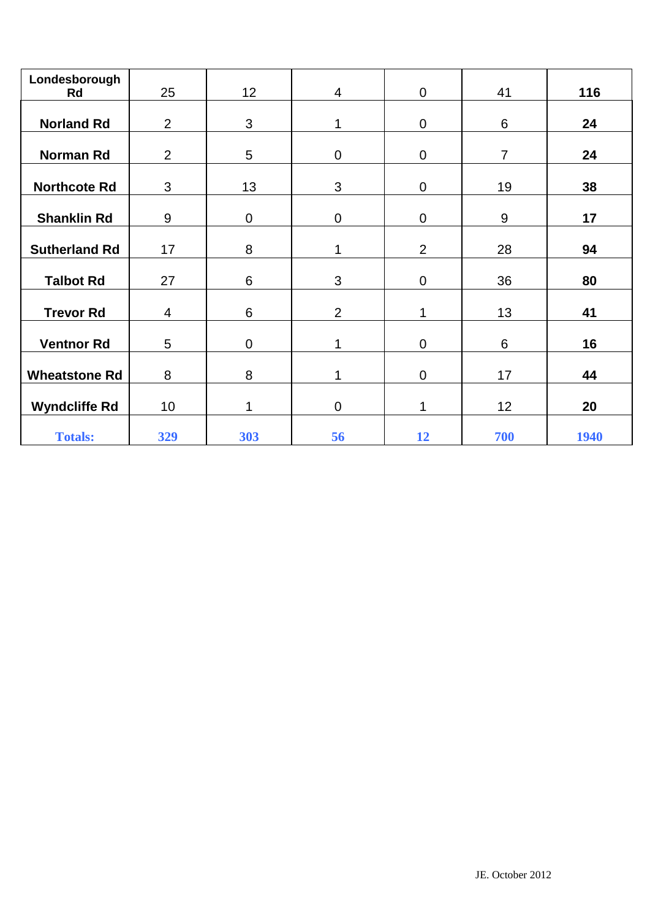| Londesborough        |                |                 |                |                  |                 |      |
|----------------------|----------------|-----------------|----------------|------------------|-----------------|------|
| Rd                   | 25             | 12 <sub>2</sub> | $\overline{4}$ | $\overline{0}$   | 41              | 116  |
| <b>Norland Rd</b>    | $\overline{2}$ | 3               | 1              | $\boldsymbol{0}$ | 6               | 24   |
| <b>Norman Rd</b>     | $\overline{2}$ | 5               | $\pmb{0}$      | $\pmb{0}$        | $\overline{7}$  | 24   |
| <b>Northcote Rd</b>  | $\mathfrak{B}$ | 13              | $\mathfrak{S}$ | $\boldsymbol{0}$ | 19              | 38   |
| <b>Shanklin Rd</b>   | 9              | $\mathbf 0$     | $\mathsf 0$    | $\boldsymbol{0}$ | $9\,$           | 17   |
| <b>Sutherland Rd</b> | 17             | 8               | $\mathbf 1$    | $\overline{2}$   | 28              | 94   |
| <b>Talbot Rd</b>     | 27             | 6               | 3              | $\mathbf 0$      | 36              | 80   |
| <b>Trevor Rd</b>     | $\overline{4}$ | 6               | $\overline{2}$ | 1                | 13              | 41   |
| <b>Ventnor Rd</b>    | 5              | $\mathbf 0$     | 1              | $\boldsymbol{0}$ | $6\phantom{1}$  | 16   |
| <b>Wheatstone Rd</b> | 8              | 8               | 1              | $\mathbf 0$      | 17              | 44   |
| <b>Wyndcliffe Rd</b> | 10             |                 | $\mathsf 0$    | 1                | 12 <sub>2</sub> | 20   |
| <b>Totals:</b>       | 329            | 303             | 56             | 12               | 700             | 1940 |